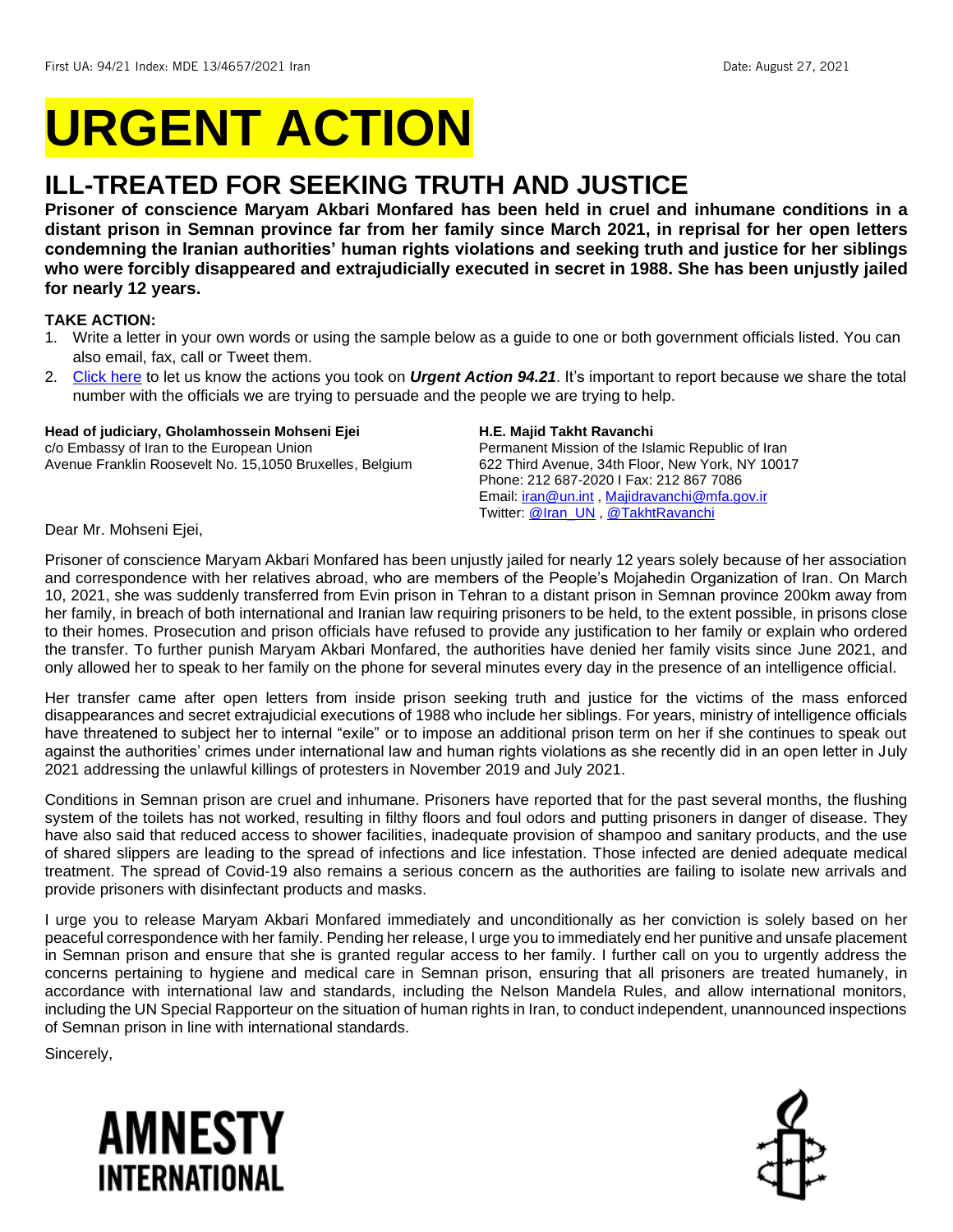# **URGENT ACTION**

## **ILL-TREATED FOR SEEKING TRUTH AND JUSTICE**

**Prisoner of conscience Maryam Akbari Monfared has been held in cruel and inhumane conditions in a distant prison in Semnan province far from her family since March 2021, in reprisal for her open letters condemning the Iranian authorities' human rights violations and seeking truth and justice for her siblings who were forcibly disappeared and extrajudicially executed in secret in 1988. She has been unjustly jailed for nearly 12 years.** 

#### **TAKE ACTION:**

- 1. Write a letter in your own words or using the sample below as a guide to one or both government officials listed. You can also email, fax, call or Tweet them.
- 2. [Click here](https://www.amnestyusa.org/report-urgent-actions/) to let us know the actions you took on *Urgent Action 94.21*. It's important to report because we share the total number with the officials we are trying to persuade and the people we are trying to help.

#### **Head of judiciary, Gholamhossein Mohseni Ejei** c/o Embassy of Iran to the European Union

Avenue Franklin Roosevelt No. 15,1050 Bruxelles, Belgium

#### **H.E. Majid Takht Ravanchi**

Permanent Mission of the Islamic Republic of Iran 622 Third Avenue, 34th Floor, New York, NY 10017 Phone: 212 687-2020 I Fax: 212 867 7086 Email: [iran@un.int](mailto:iran@un.int) , [Majidravanchi@mfa.gov.ir](mailto:Majidravanchi@mfa.gov.ir) Twitter: [@Iran\\_UN](https://twitter.com/iran_un) , [@TakhtRavanchi](https://twitter.com/TakhtRavanchi)

Dear Mr. Mohseni Ejei,

Prisoner of conscience Maryam Akbari Monfared has been unjustly jailed for nearly 12 years solely because of her association and correspondence with her relatives abroad, who are members of the People's Mojahedin Organization of Iran. On March 10, 2021, she was suddenly transferred from Evin prison in Tehran to a distant prison in Semnan province 200km away from her family, in breach of both international and Iranian law requiring prisoners to be held, to the extent possible, in prisons close to their homes. Prosecution and prison officials have refused to provide any justification to her family or explain who ordered the transfer. To further punish Maryam Akbari Monfared, the authorities have denied her family visits since June 2021, and only allowed her to speak to her family on the phone for several minutes every day in the presence of an intelligence official.

Her transfer came after open letters from inside prison seeking truth and justice for the victims of the mass enforced disappearances and secret extrajudicial executions of 1988 who include her siblings. For years, ministry of intelligence officials have threatened to subject her to internal "exile" or to impose an additional prison term on her if she continues to speak out against the authorities' crimes under international law and human rights violations as she recently did in an open letter in July 2021 addressing the unlawful killings of protesters in November 2019 and July 2021.

Conditions in Semnan prison are cruel and inhumane. Prisoners have reported that for the past several months, the flushing system of the toilets has not worked, resulting in filthy floors and foul odors and putting prisoners in danger of disease. They have also said that reduced access to shower facilities, inadequate provision of shampoo and sanitary products, and the use of shared slippers are leading to the spread of infections and lice infestation. Those infected are denied adequate medical treatment. The spread of Covid-19 also remains a serious concern as the authorities are failing to isolate new arrivals and provide prisoners with disinfectant products and masks.

I urge you to release Maryam Akbari Monfared immediately and unconditionally as her conviction is solely based on her peaceful correspondence with her family. Pending her release, I urge you to immediately end her punitive and unsafe placement in Semnan prison and ensure that she is granted regular access to her family. I further call on you to urgently address the concerns pertaining to hygiene and medical care in Semnan prison, ensuring that all prisoners are treated humanely, in accordance with international law and standards, including the Nelson Mandela Rules, and allow international monitors, including the UN Special Rapporteur on the situation of human rights in Iran, to conduct independent, unannounced inspections of Semnan prison in line with international standards.

Sincerely,